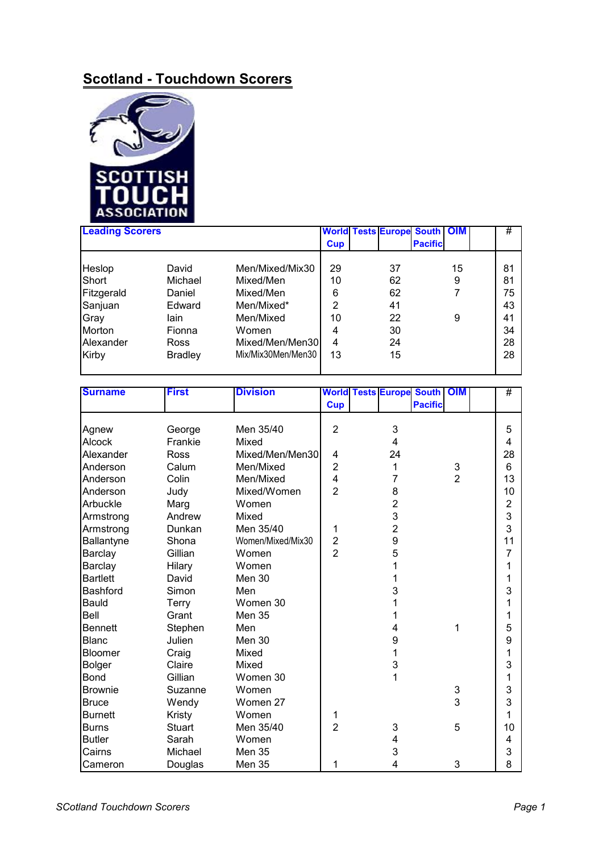## **Scotland - Touchdown Scorers**



| <b>Leading Scorers</b> |                |                    |            | <b>World Tests Europe South   OIM</b> |                |    | #  |
|------------------------|----------------|--------------------|------------|---------------------------------------|----------------|----|----|
|                        |                |                    | <b>Cup</b> |                                       | <b>Pacific</b> |    |    |
|                        |                |                    |            |                                       |                |    |    |
| Heslop                 | David          | Men/Mixed/Mix30    | 29         | 37                                    |                | 15 | 81 |
| Short                  | Michael        | Mixed/Men          | 10         | 62                                    |                | 9  | 81 |
| Fitzgerald             | Daniel         | Mixed/Men          | 6          | 62                                    |                | 7  | 75 |
| Sanjuan                | Edward         | Men/Mixed*         | 2          | 41                                    |                |    | 43 |
| Gray                   | lain           | Men/Mixed          | 10         | 22                                    |                | 9  | 41 |
| Morton                 | Fionna         | Women              | 4          | 30                                    |                |    | 34 |
| Alexander              | Ross           | Mixed/Men/Men30    | 4          | 24                                    |                |    | 28 |
| Kirby                  | <b>Bradley</b> | Mix/Mix30Men/Men30 | 13         | 15                                    |                |    | 28 |
|                        |                |                    |            |                                       |                |    |    |

| <b>Surname</b>  | <b>First</b>  | <b>Division</b>   |                |                | <b>World Tests Europe South OIM</b> |                | #                       |
|-----------------|---------------|-------------------|----------------|----------------|-------------------------------------|----------------|-------------------------|
|                 |               |                   | <b>Cup</b>     |                | <b>Pacific</b>                      |                |                         |
|                 |               |                   |                |                |                                     |                |                         |
| Agnew           | George        | Men 35/40         | $\overline{2}$ | 3              |                                     |                | 5                       |
| <b>Alcock</b>   | Frankie       | Mixed             |                | 4              |                                     |                | 4                       |
| Alexander       | Ross          | Mixed/Men/Men30   | 4              | 24             |                                     |                | 28                      |
| Anderson        | Calum         | Men/Mixed         | $\overline{2}$ | 1              |                                     | $\frac{3}{2}$  | 6                       |
| Anderson        | Colin         | Men/Mixed         | $\overline{4}$ | 7              |                                     |                | 13                      |
| Anderson        | Judy          | Mixed/Women       | $\overline{2}$ | 8              |                                     |                | 10                      |
| Arbuckle        | Marg          | Women             |                | $\overline{2}$ |                                     |                | $\overline{\mathbf{c}}$ |
| Armstrong       | Andrew        | Mixed             |                | 3              |                                     |                | 3                       |
| Armstrong       | Dunkan        | Men 35/40         | 1              | $\overline{2}$ |                                     |                | 3                       |
| Ballantyne      | Shona         | Women/Mixed/Mix30 | $\overline{2}$ | 9              |                                     |                | 11                      |
| <b>Barclay</b>  | Gillian       | Women             | $\overline{2}$ | 5              |                                     |                | 7                       |
| Barclay         | Hilary        | Women             |                | 1              |                                     |                | 1                       |
| <b>Bartlett</b> | David         | Men 30            |                | 1              |                                     |                | 1                       |
| <b>Bashford</b> | Simon         | Men               |                | 3              |                                     |                | 3                       |
| Bauld           | Terry         | Women 30          |                | 1              |                                     |                | 1                       |
| Bell            | Grant         | <b>Men 35</b>     |                | 1              |                                     |                | 1                       |
| <b>Bennett</b>  | Stephen       | Men               |                | 4              |                                     | 1              | 5                       |
| <b>Blanc</b>    | Julien        | Men 30            |                | 9              |                                     |                | 9                       |
| Bloomer         | Craig         | Mixed             |                | 1              |                                     |                | 1                       |
| <b>Bolger</b>   | Claire        | Mixed             |                | 3              |                                     |                | 3                       |
| <b>Bond</b>     | Gillian       | Women 30          |                | 1              |                                     |                | 1                       |
| <b>Brownie</b>  | Suzanne       | Women             |                |                |                                     | 3              | 3                       |
| <b>Bruce</b>    | Wendy         | Women 27          |                |                |                                     | $\overline{3}$ | 3                       |
| <b>Burnett</b>  | Kristy        | Women             | 1              |                |                                     |                | 1                       |
| <b>Burns</b>    | <b>Stuart</b> | Men 35/40         | $\overline{2}$ | 3              |                                     | 5              | 10                      |
| <b>Butler</b>   | Sarah         | Women             |                | 4              |                                     |                | 4                       |
| Cairns          | Michael       | <b>Men 35</b>     |                | 3              |                                     |                | 3                       |
| Cameron         | Douglas       | Men 35            | 1              | 4              |                                     | 3              | 8                       |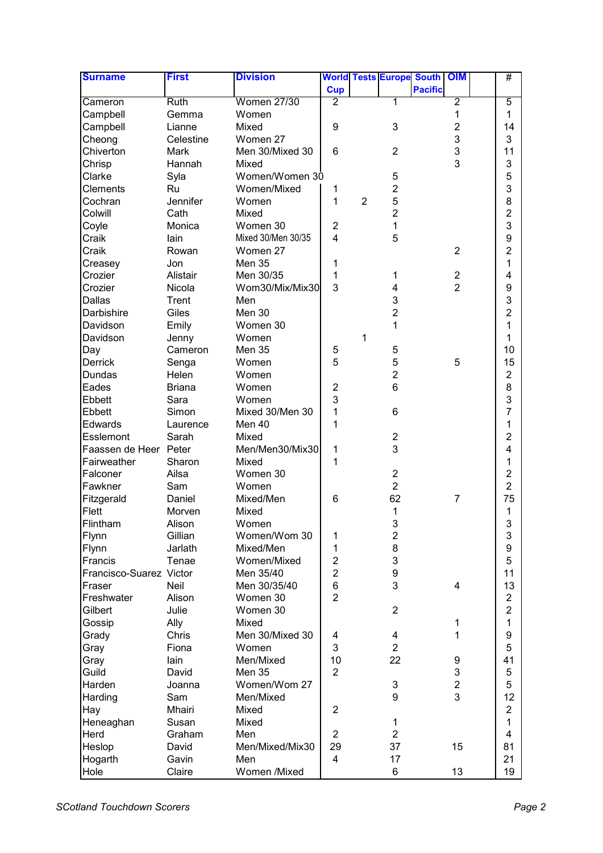| <b>Surname</b>          | <b>First</b>  | <b>Division</b>           |                         |                |                  | <b>World Tests Europe South</b> | <b>OIM</b>                   | #                       |
|-------------------------|---------------|---------------------------|-------------------------|----------------|------------------|---------------------------------|------------------------------|-------------------------|
|                         |               |                           | <b>Cup</b>              |                |                  | <b>Pacific</b>                  |                              |                         |
| Cameron                 | <b>Ruth</b>   | <b>Women 27/30</b>        | 2                       |                | 1                |                                 | $\overline{2}$               | 5                       |
| Campbell                | Gemma         | Women                     |                         |                |                  |                                 | 1                            | 1                       |
| Campbell                | Lianne        | Mixed                     | 9                       |                | 3                |                                 | $\overline{2}$               | 14                      |
| Cheong                  | Celestine     | Women 27                  |                         |                |                  |                                 | 3                            | 3                       |
| Chiverton               | Mark          | Men 30/Mixed 30           | 6                       |                | $\overline{2}$   |                                 | 3                            | 11                      |
| Chrisp                  | Hannah        | Mixed                     |                         |                |                  |                                 | 3                            | 3                       |
| Clarke                  | Syla          | Women/Women 30            |                         |                | 5                |                                 |                              | 5                       |
| <b>Clements</b>         | Ru            | Women/Mixed               | 1                       |                | $\overline{c}$   |                                 |                              | 3                       |
| Cochran                 | Jennifer      | Women                     | 1                       | $\overline{2}$ | 5                |                                 |                              | 8                       |
| Colwill                 | Cath          | Mixed                     |                         |                | $\overline{2}$   |                                 |                              | $\overline{2}$          |
| Coyle                   | Monica        | Women 30                  | 2                       |                | 1                |                                 |                              | 3                       |
| Craik                   | lain          | Mixed 30/Men 30/35        | $\overline{\mathbf{4}}$ |                | 5                |                                 |                              | 9                       |
| Craik                   | Rowan         | Women 27                  |                         |                |                  |                                 | 2                            | $\overline{2}$          |
| Creasey                 | Jon           | <b>Men 35</b>             | 1                       |                |                  |                                 |                              | 1                       |
| Crozier                 | Alistair      | Men 30/35                 | 1                       |                | $\mathbf{1}$     |                                 | $\overline{\mathbf{c}}$      | 4                       |
| Crozier                 | Nicola        | Wom30/Mix/Mix30           | 3                       |                | 4                |                                 | $\overline{2}$               | 9                       |
| <b>Dallas</b>           | Trent         | Men                       |                         |                | 3                |                                 |                              | 3                       |
| Darbishire              | Giles         | Men 30                    |                         |                | $\overline{2}$   |                                 |                              | $\overline{2}$          |
| Davidson                | Emily         | Women 30                  |                         |                | 1                |                                 |                              | 1                       |
| Davidson                | Jenny         | Women                     |                         | 1              |                  |                                 |                              | 1                       |
| Day                     | Cameron       | <b>Men 35</b>             | 5                       |                | 5                |                                 |                              | 10                      |
| <b>Derrick</b>          | Senga         | Women                     | 5                       |                | 5                |                                 | 5                            | 15                      |
| Dundas                  | Helen         | Women                     |                         |                | $\overline{2}$   |                                 |                              | $\overline{\mathbf{c}}$ |
| Eades                   | <b>Briana</b> | Women                     | $\overline{\mathbf{c}}$ |                | $6\phantom{1}$   |                                 |                              | 8                       |
| <b>Ebbett</b>           | Sara          | Women                     | 3                       |                |                  |                                 |                              | 3                       |
| <b>Ebbett</b>           | Simon         | Mixed 30/Men 30           | 1                       |                | 6                |                                 |                              | $\overline{7}$          |
| Edwards                 | Laurence      | Men 40                    | 1                       |                |                  |                                 |                              | 1                       |
| <b>Esslemont</b>        | Sarah         | Mixed                     |                         |                | $\overline{c}$   |                                 |                              | $\overline{2}$          |
| Faassen de Heer Peter   |               | Men/Men30/Mix30           | 1                       |                | 3                |                                 |                              | 4                       |
| Fairweather             | Sharon        | Mixed                     | 1                       |                |                  |                                 |                              | 1                       |
| Falconer                | Ailsa         | Women 30                  |                         |                | $\overline{2}$   |                                 |                              | $\overline{2}$          |
| Fawkner                 | Sam           | Women                     |                         |                | $\overline{2}$   |                                 |                              | $\overline{2}$          |
|                         | Daniel        | Mixed/Men                 | 6                       |                | 62               |                                 | $\overline{7}$               | 75                      |
| Fitzgerald<br>Flett     | Morven        | Mixed                     |                         |                | 1                |                                 |                              | 1                       |
| Flintham                | Alison        | Women                     |                         |                | 3                |                                 |                              | 3                       |
|                         | Gillian       | Women/Wom 30              |                         |                |                  |                                 |                              | 3                       |
| Flynn                   |               | Mixed/Men                 | 1                       |                | $\boldsymbol{2}$ |                                 |                              |                         |
| Flynn                   | Jarlath       | Women/Mixed               | 1<br>$\overline{c}$     |                | 8<br>3           |                                 |                              | 9<br>5                  |
| Francis                 | Tenae         |                           | $\overline{c}$          |                |                  |                                 |                              | 11                      |
| Francisco-Suarez Victor | Neil          | Men 35/40<br>Men 30/35/40 | 6                       |                | 9<br>3           |                                 | 4                            | 13                      |
| Fraser<br>Freshwater    | Alison        | Women 30                  | $\overline{2}$          |                |                  |                                 |                              | $\overline{2}$          |
| Gilbert                 |               | Women 30                  |                         |                | $\overline{2}$   |                                 |                              | $\overline{2}$          |
|                         | Julie         | Mixed                     |                         |                |                  |                                 | 1                            | 1                       |
| Gossip                  | Ally          |                           |                         |                |                  |                                 |                              |                         |
| Grady                   | Chris         | Men 30/Mixed 30           | 4                       |                | 4                |                                 | 1                            | 9<br>5                  |
| Gray                    | Fiona         | Women                     | 3<br>10                 |                | $\overline{2}$   |                                 |                              | 41                      |
| Gray                    | lain          | Men/Mixed                 | $\overline{2}$          |                | 22               |                                 | 9<br>3                       |                         |
| Guild                   | David         | <b>Men 35</b>             |                         |                |                  |                                 |                              | 5<br>5                  |
| Harden                  | Joanna        | Women/Wom 27              |                         |                | 3<br>9           |                                 | $\overline{\mathbf{c}}$<br>3 |                         |
| Harding                 | Sam           | Men/Mixed                 |                         |                |                  |                                 |                              | 12                      |
| Hay                     | Mhairi        | Mixed                     | $\overline{2}$          |                |                  |                                 |                              | $\overline{\mathbf{c}}$ |
| Heneaghan               | Susan         | Mixed                     |                         |                | 1                |                                 |                              | 1                       |
| Herd                    | Graham        | Men                       | $\overline{c}$          |                | $\overline{2}$   |                                 |                              | 4                       |
| Heslop                  | David         | Men/Mixed/Mix30           | 29                      |                | 37               |                                 | 15                           | 81                      |
| Hogarth                 | Gavin         | Men                       | 4                       |                | 17               |                                 |                              | 21                      |
| Hole                    | Claire        | Women /Mixed              |                         |                | 6                |                                 | 13                           | 19                      |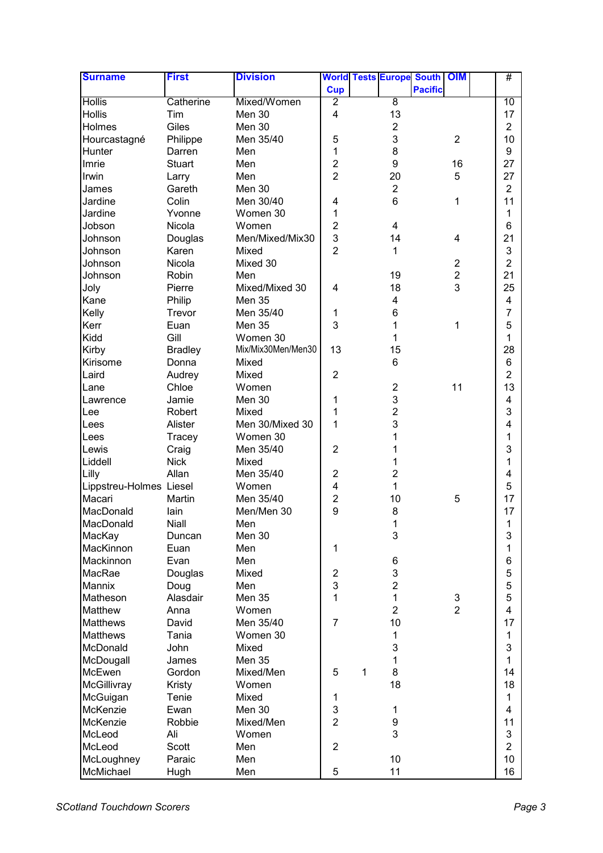| <b>Surname</b>          | <b>First</b>    | <b>Division</b>        |                              |   |                         | <b>World Tests Europe South OIM</b> |                | #                   |
|-------------------------|-----------------|------------------------|------------------------------|---|-------------------------|-------------------------------------|----------------|---------------------|
|                         |                 |                        | <b>Cup</b>                   |   |                         | <b>Pacific</b>                      |                |                     |
| <b>Hollis</b>           | Catherine       | Mixed/Women            | $\overline{2}$               |   | $\overline{8}$          |                                     |                | 10                  |
| <b>Hollis</b>           | Tim             | Men 30                 | 4                            |   | 13                      |                                     |                | 17                  |
| Holmes                  | Giles           | Men 30                 |                              |   | $\overline{c}$          |                                     |                | $\overline{2}$      |
| Hourcastagné            | Philippe        | Men 35/40              | 5                            |   | 3                       |                                     | $\overline{2}$ | 10                  |
| Hunter                  | Darren          | Men                    | $\mathbf{1}$                 |   | 8                       |                                     |                | 9                   |
| Imrie                   | Stuart          | Men                    | $\overline{2}$               |   | 9                       |                                     | 16             | 27                  |
| Irwin                   | Larry           | Men                    | $\overline{2}$               |   | 20                      |                                     | 5              | 27                  |
| James                   | Gareth          | Men 30                 |                              |   | $\overline{2}$          |                                     |                | $\overline{2}$      |
| Jardine                 | Colin           | Men 30/40              | 4                            |   | 6                       |                                     | 1              | 11                  |
| Jardine                 | Yvonne          | Women 30               | 1                            |   |                         |                                     |                | 1                   |
| Jobson                  | Nicola          | Women                  | $\overline{2}$               |   | 4                       |                                     |                | 6                   |
| Johnson                 | Douglas         | Men/Mixed/Mix30        | 3                            |   | 14                      |                                     | 4              | 21                  |
| Johnson                 | Karen           | Mixed                  | $\overline{2}$               |   | $\mathbf{1}$            |                                     |                | 3                   |
| Johnson                 | Nicola          | Mixed 30               |                              |   |                         |                                     | $\overline{2}$ | $\overline{2}$      |
| Johnson                 | Robin           | Men                    |                              |   | 19                      |                                     | $\overline{c}$ | 21                  |
| Joly                    | Pierre          | Mixed/Mixed 30         | 4                            |   | 18                      |                                     | 3              | 25                  |
| Kane                    | Philip          | <b>Men 35</b>          |                              |   | $\overline{\mathbf{4}}$ |                                     |                | 4                   |
| Kelly                   | Trevor          | Men 35/40              | 1                            |   | 6                       |                                     |                | $\overline{7}$      |
| Kerr                    | Euan            | <b>Men 35</b>          | 3                            |   | 1                       |                                     | 1              | 5                   |
| Kidd                    | Gill            | Women 30               |                              |   | 1                       |                                     |                | 1                   |
| Kirby                   | <b>Bradley</b>  | Mix/Mix30Men/Men30     | 13                           |   | 15                      |                                     |                | 28                  |
| Kirisome                | Donna           | Mixed                  |                              |   | $6\phantom{1}$          |                                     |                | 6                   |
| Laird                   | Audrey          | Mixed                  | $\overline{2}$               |   |                         |                                     |                | $\overline{2}$      |
| Lane                    | Chloe           | Women                  |                              |   | $\overline{2}$          |                                     | 11             | 13                  |
| Lawrence                | Jamie           | Men 30                 | 1                            |   | 3                       |                                     |                | 4                   |
| Lee                     | Robert          | Mixed                  | 1                            |   | $\overline{2}$          |                                     |                | 3                   |
| Lees                    | Alister         | Men 30/Mixed 30        | 1                            |   | 3                       |                                     |                | 4                   |
| Lees                    | Tracey          | Women 30               |                              |   | 1                       |                                     |                | 1                   |
| Lewis                   | Craig           | Men 35/40              | $\overline{2}$               |   | 1                       |                                     |                | 3                   |
| Liddell                 | <b>Nick</b>     | Mixed                  |                              |   | 1                       |                                     |                | 1                   |
| Lilly                   | Allan           | Men 35/40              | $\overline{2}$               |   | $\overline{2}$          |                                     |                | 4                   |
| Lippstreu-Holmes Liesel |                 | Women                  | 4                            |   | 1                       |                                     |                | 5                   |
| Macari                  | Martin          | Men 35/40              | $\overline{2}$               |   | 10                      |                                     | 5              | 17                  |
| MacDonald               | lain            | Men/Men 30             | 9                            |   | 8                       |                                     |                | 17                  |
| MacDonald               | Niall           | Men                    |                              |   | $\mathbf{1}$            |                                     |                | 1                   |
| MacKay                  | Duncan          | Men 30                 |                              |   | 3                       |                                     |                | 3                   |
| MacKinnon               | Euan            | Men                    | 1                            |   |                         |                                     |                | 1                   |
| Mackinnon               | Evan            | Men                    |                              |   | 6                       |                                     |                | 6                   |
| MacRae                  |                 | Mixed                  |                              |   | 3                       |                                     |                | 5                   |
| Mannix                  | Douglas<br>Doug | Men                    | $\overline{\mathbf{c}}$<br>3 |   | $\boldsymbol{2}$        |                                     |                | $\mathbf 5$         |
| Matheson                | Alasdair        | Men 35                 | $\mathbf{1}$                 |   | $\mathbf{1}$            |                                     | 3              | 5                   |
| Matthew                 |                 | Women                  |                              |   | $\overline{2}$          |                                     | $\overline{2}$ | 4                   |
| <b>Matthews</b>         | Anna            | Men 35/40              | $\overline{7}$               |   | 10                      |                                     |                | 17                  |
|                         | David<br>Tania  |                        |                              |   |                         |                                     |                |                     |
| <b>Matthews</b>         | John            | Women 30               |                              |   | 1<br>3                  |                                     |                | 1<br>3              |
| McDonald                |                 | Mixed<br><b>Men 35</b> |                              |   | 1                       |                                     |                | 1                   |
| McDougall               | James           |                        |                              |   | 8                       |                                     |                |                     |
| McEwen<br>McGillivray   | Gordon          | Mixed/Men<br>Women     | 5                            | 1 | 18                      |                                     |                | 14<br>18            |
|                         | Kristy          | Mixed                  |                              |   |                         |                                     |                | 1                   |
| McGuigan                | Tenie           |                        | 1<br>$\mathfrak{S}$          |   |                         |                                     |                | 4                   |
| McKenzie                | Ewan            | Men 30                 | $\overline{2}$               |   | 1                       |                                     |                |                     |
| McKenzie<br>McLeod      | Robbie<br>Ali   | Mixed/Men              |                              |   | 9<br>3                  |                                     |                | 11                  |
|                         |                 | Women                  | $\overline{2}$               |   |                         |                                     |                | 3<br>$\overline{2}$ |
| McLeod                  | Scott<br>Paraic | Men<br>Men             |                              |   | 10                      |                                     |                | 10                  |
| McLoughney<br>McMichael |                 |                        | 5                            |   | 11                      |                                     |                |                     |
|                         | Hugh            | Men                    |                              |   |                         |                                     |                | 16                  |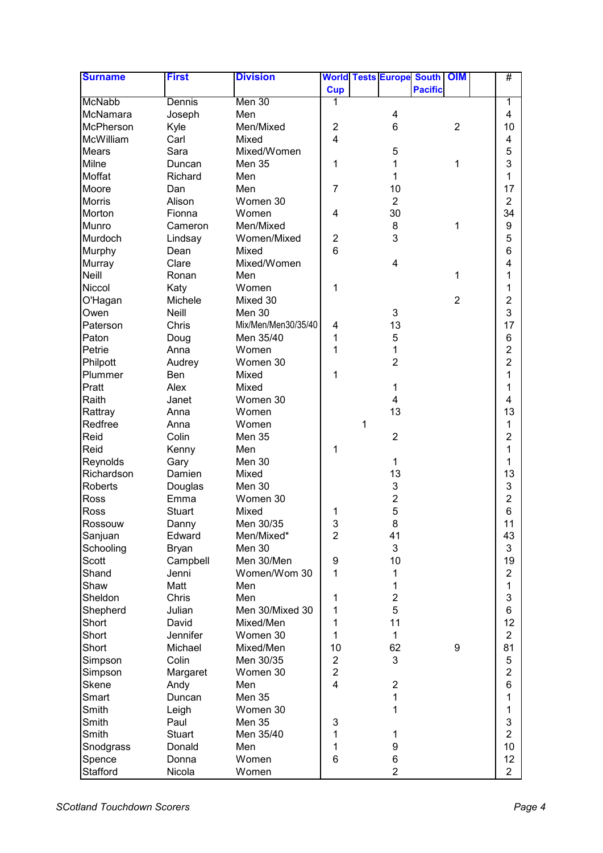| <b>Surname</b> | <b>First</b>  | <b>Division</b>     |                         |   |                         | <b>World Tests Europe South OIM</b> |                | #                       |
|----------------|---------------|---------------------|-------------------------|---|-------------------------|-------------------------------------|----------------|-------------------------|
|                |               |                     | <b>Cup</b>              |   |                         | <b>Pacific</b>                      |                |                         |
| <b>McNabb</b>  | Dennis        | Men 30              | 1                       |   |                         |                                     |                | 1                       |
| McNamara       | Joseph        | Men                 |                         |   | 4                       |                                     |                | 4                       |
| McPherson      | Kyle          | Men/Mixed           | 2                       |   | 6                       |                                     | $\overline{2}$ | 10                      |
| McWilliam      | Carl          | Mixed               | $\overline{4}$          |   |                         |                                     |                | 4                       |
| <b>Mears</b>   | Sara          | Mixed/Women         |                         |   | 5                       |                                     |                | 5                       |
| Milne          | Duncan        | <b>Men 35</b>       | 1                       |   | 1                       |                                     | 1              | 3                       |
| Moffat         | Richard       | Men                 |                         |   | 1                       |                                     |                | 1                       |
| Moore          | Dan           | Men                 | $\overline{7}$          |   | 10                      |                                     |                | 17                      |
| <b>Morris</b>  | Alison        | Women 30            |                         |   | $\overline{2}$          |                                     |                | $\overline{2}$          |
| Morton         | Fionna        | Women               | 4                       |   | 30                      |                                     |                | 34                      |
| Munro          | Cameron       | Men/Mixed           |                         |   | 8                       |                                     | 1              | 9                       |
| Murdoch        | Lindsay       | Women/Mixed         | 2                       |   | 3                       |                                     |                | 5                       |
| Murphy         | Dean          | Mixed               | 6                       |   |                         |                                     |                | 6                       |
| Murray         | Clare         | Mixed/Women         |                         |   | $\overline{\mathbf{4}}$ |                                     |                | 4                       |
| Neill          | Ronan         | Men                 |                         |   |                         |                                     | 1              | 1                       |
| Niccol         | Katy          | Women               | 1                       |   |                         |                                     |                | 1                       |
| O'Hagan        | Michele       | Mixed 30            |                         |   |                         |                                     | $\overline{2}$ | $\overline{\mathbf{c}}$ |
| Owen           | <b>Neill</b>  | Men 30              |                         |   | 3                       |                                     |                | 3                       |
| Paterson       | Chris         | Mix/Men/Men30/35/40 | 4                       |   | 13                      |                                     |                | 17                      |
| Paton          | Doug          | Men 35/40           | 1                       |   | 5                       |                                     |                | 6                       |
| Petrie         | Anna          | Women               | 1                       |   | 1                       |                                     |                | $\overline{2}$          |
| Philpott       | Audrey        | Women 30            |                         |   | $\overline{2}$          |                                     |                | $\overline{2}$          |
| Plummer        | Ben           | Mixed               | 1                       |   |                         |                                     |                | 1                       |
| Pratt          | Alex          | Mixed               |                         |   | 1                       |                                     |                | 1                       |
| Raith          | Janet         | Women 30            |                         |   | $\overline{\mathbf{4}}$ |                                     |                | 4                       |
| Rattray        | Anna          | Women               |                         |   | 13                      |                                     |                | 13                      |
| Redfree        | Anna          | Women               |                         | 1 |                         |                                     |                | 1                       |
| Reid           | Colin         | <b>Men 35</b>       |                         |   | $\overline{2}$          |                                     |                | $\overline{2}$          |
| Reid           | Kenny         | Men                 | 1                       |   |                         |                                     |                | 1                       |
| Reynolds       | Gary          | Men 30              |                         |   | 1                       |                                     |                | 1                       |
| Richardson     | Damien        | Mixed               |                         |   | 13                      |                                     |                | 13                      |
| <b>Roberts</b> | Douglas       | Men 30              |                         |   | 3                       |                                     |                | 3                       |
| Ross           | Emma          | Women 30            |                         |   | $\overline{c}$          |                                     |                | $\overline{2}$          |
| Ross           | <b>Stuart</b> | Mixed               | 1                       |   | 5                       |                                     |                | 6                       |
| Rossouw        | Danny         | Men 30/35           | 3                       |   | 8                       |                                     |                | 11                      |
| Sanjuan        | Edward        | Men/Mixed*          | $\overline{2}$          |   | 41                      |                                     |                | 43                      |
| Schooling      | <b>Bryan</b>  | Men 30              |                         |   | 3                       |                                     |                | 3                       |
| Scott          | Campbell      | Men 30/Men          | 9                       |   | 10                      |                                     |                | 19                      |
| Shand          | Jenni         | Women/Wom 30        | 1                       |   | 1                       |                                     |                | 2                       |
| Shaw           | Matt          | Men                 |                         |   | 1                       |                                     |                | 1                       |
| Sheldon        | Chris         | Men                 | 1                       |   | $\overline{2}$          |                                     |                | 3                       |
| Shepherd       | Julian        | Men 30/Mixed 30     | 1                       |   | 5                       |                                     |                | 6                       |
| Short          | David         | Mixed/Men           | 1                       |   | 11                      |                                     |                | 12                      |
| Short          | Jennifer      | Women 30            | 1                       |   | 1                       |                                     |                | $\overline{2}$          |
| Short          | Michael       | Mixed/Men           | 10                      |   | 62                      |                                     | 9              | 81                      |
| Simpson        | Colin         | Men 30/35           | $\overline{2}$          |   | 3                       |                                     |                | 5                       |
| Simpson        | Margaret      | Women 30            | $\overline{c}$          |   |                         |                                     |                | $\overline{\mathbf{c}}$ |
| Skene          | Andy          | Men                 | $\overline{\mathbf{4}}$ |   | $\overline{2}$          |                                     |                | 6                       |
| Smart          | Duncan        | <b>Men 35</b>       |                         |   | 1                       |                                     |                | 1                       |
| Smith          | Leigh         | Women 30            |                         |   | 1                       |                                     |                | 1                       |
| Smith          | Paul          | <b>Men 35</b>       | 3                       |   |                         |                                     |                | 3                       |
| Smith          | <b>Stuart</b> | Men 35/40           | 1                       |   | 1                       |                                     |                | $\overline{2}$          |
| Snodgrass      | Donald        | Men                 | 1                       |   | 9                       |                                     |                | 10 <sup>1</sup>         |
| Spence         | Donna         | Women               | 6                       |   | 6                       |                                     |                | 12                      |
| Stafford       | Nicola        | Women               |                         |   | $\overline{2}$          |                                     |                | $\overline{2}$          |